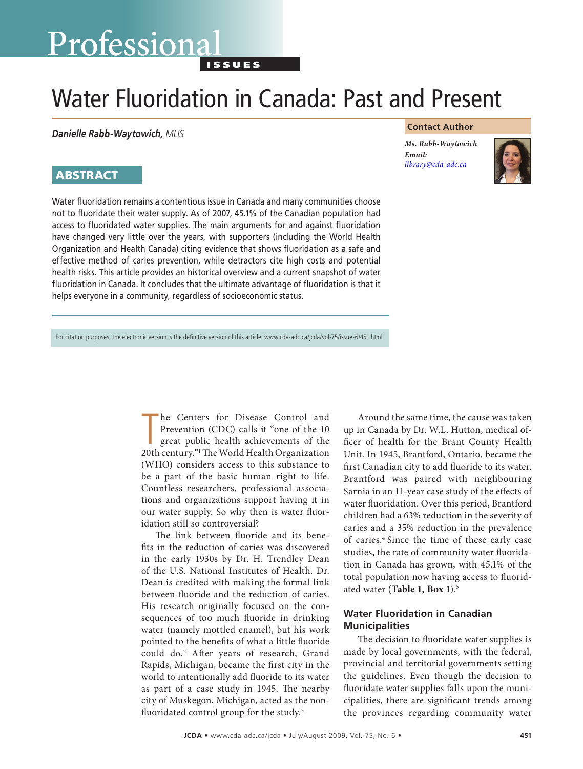# Professional

I s s u e s

# Water Fluoridation in Canada: Past and Present

*Danielle Rabb-Waytowich, MLIS*

# **ABSTRACT**

Water fluoridation remains a contentious issue in Canada and many communities choose not to fluoridate their water supply. As of 2007, 45.1% of the Canadian population had access to fluoridated water supplies. The main arguments for and against fluoridation have changed very little over the years, with supporters (including the World Health Organization and Health Canada) citing evidence that shows fluoridation as a safe and effective method of caries prevention, while detractors cite high costs and potential health risks. This article provides an historical overview and a current snapshot of water fluoridation in Canada. It concludes that the ultimate advantage of fluoridation is that it helps everyone in a community, regardless of socioeconomic status.

# **Contact Author**

*Ms. Rabb-Waytowich Email: [library@cda-adc.ca](mailto:library@cda-adc.ca)*



For citation purposes, the electronic version is the definitive version of this article: www.cda-adc.ca/jcda/vol-75/issue-6/451.html

The Centers for Disease Control and<br>
Prevention (CDC) calls it "one of the 10<br>
great public health achievements of the<br>
20th century."<sup>1</sup> The World Health Organization he Centers for Disease Control and Prevention (CDC) calls it "one of the 10 great public health achievements of the (WHO) considers access to this substance to be a part of the basic human right to life. Countless researchers, professional associations and organizations support having it in our water supply. So why then is water fluoridation still so controversial?

The link between fluoride and its benefits in the reduction of caries was discovered in the early 1930s by Dr. H. Trendley Dean of the U.S. National Institutes of Health. Dr. Dean is credited with making the formal link between fluoride and the reduction of caries. His research originally focused on the consequences of too much fluoride in drinking water (namely mottled enamel), but his work pointed to the benefits of what a little fluoride could do.2 After years of research, Grand Rapids, Michigan, became the first city in the world to intentionally add fluoride to its water as part of a case study in 1945. The nearby city of Muskegon, Michigan, acted as the nonfluoridated control group for the study.<sup>3</sup>

Around the same time, the cause was taken up in Canada by Dr. W.L. Hutton, medical officer of health for the Brant County Health Unit. In 1945, Brantford, Ontario, became the first Canadian city to add fluoride to its water. Brantford was paired with neighbouring Sarnia in an 11-year case study of the effects of water fluoridation. Over this period, Brantford children had a 63% reduction in the severity of caries and a 35% reduction in the prevalence of caries.4 Since the time of these early case studies, the rate of community water fluoridation in Canada has grown, with 45.1% of the total population now having access to fluoridated water (**Table 1, Box 1**).5

# **Water Fluoridation in Canadian Municipalities**

The decision to fluoridate water supplies is made by local governments, with the federal, provincial and territorial governments setting the guidelines. Even though the decision to fluoridate water supplies falls upon the municipalities, there are significant trends among the provinces regarding community water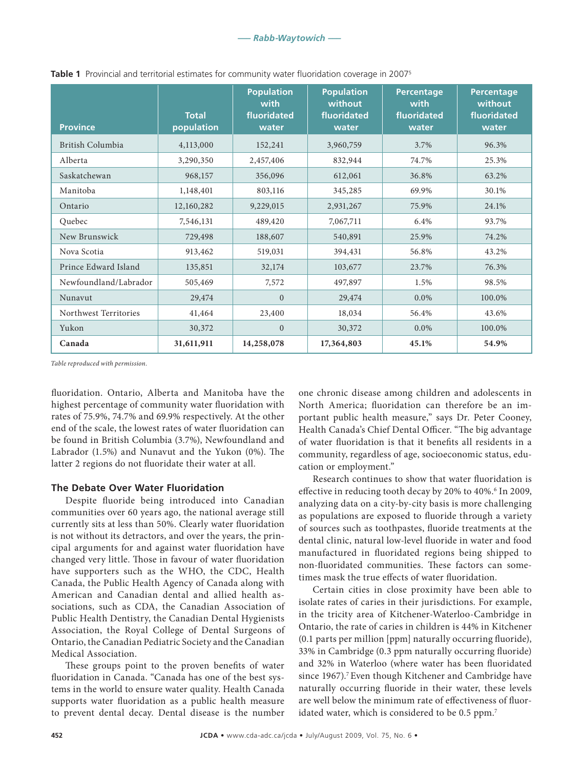| <b>Province</b>       | <b>Total</b><br>population | <b>Population</b><br>with<br>fluoridated<br>water | <b>Population</b><br>without<br>fluoridated<br>water | <b>Percentage</b><br>with<br>fluoridated<br>water | <b>Percentage</b><br>without<br>fluoridated<br>water |
|-----------------------|----------------------------|---------------------------------------------------|------------------------------------------------------|---------------------------------------------------|------------------------------------------------------|
| British Columbia      | 4,113,000                  | 152,241                                           | 3,960,759                                            | 3.7%                                              | 96.3%                                                |
| Alberta               | 3,290,350                  | 2,457,406                                         | 832,944                                              | 74.7%                                             | 25.3%                                                |
| Saskatchewan          | 968,157                    | 356,096                                           | 612,061                                              | 36.8%                                             | 63.2%                                                |
| Manitoba              | 1,148,401                  | 803,116                                           | 345,285                                              | 69.9%                                             | 30.1%                                                |
| Ontario               | 12,160,282                 | 9,229,015                                         | 2,931,267                                            | 75.9%                                             | 24.1%                                                |
| Quebec                | 7,546,131                  | 489,420                                           | 7,067,711                                            | 6.4%                                              | 93.7%                                                |
| New Brunswick         | 729,498                    | 188,607                                           | 540,891                                              | 25.9%                                             | 74.2%                                                |
| Nova Scotia           | 913,462                    | 519,031                                           | 394,431                                              | 56.8%                                             | 43.2%                                                |
| Prince Edward Island  | 135,851                    | 32,174                                            | 103,677                                              | 23.7%                                             | 76.3%                                                |
| Newfoundland/Labrador | 505,469                    | 7,572                                             | 497,897                                              | 1.5%                                              | 98.5%                                                |
| Nunavut               | 29,474                     | $\overline{0}$                                    | 29,474                                               | 0.0%                                              | 100.0%                                               |
| Northwest Territories | 41,464                     | 23,400                                            | 18,034                                               | 56.4%                                             | 43.6%                                                |
| Yukon                 | 30,372                     | $\Omega$                                          | 30,372                                               | $0.0\%$                                           | 100.0%                                               |
| Canada                | 31,611,911                 | 14,258,078                                        | 17,364,803                                           | 45.1%                                             | 54.9%                                                |

**Table 1** Provincial and territorial estimates for community water fluoridation coverage in 20075

*Table reproduced with permission.*

fluoridation. Ontario, Alberta and Manitoba have the highest percentage of community water fluoridation with rates of 75.9%, 74.7% and 69.9% respectively. At the other end of the scale, the lowest rates of water fluoridation can be found in British Columbia (3.7%), Newfoundland and Labrador (1.5%) and Nunavut and the Yukon (0%). The latter 2 regions do not fluoridate their water at all.

# **The Debate Over Water Fluoridation**

Despite fluoride being introduced into Canadian communities over 60 years ago, the national average still currently sits at less than 50%. Clearly water fluoridation is not without its detractors, and over the years, the principal arguments for and against water fluoridation have changed very little. Those in favour of water fluoridation have supporters such as the WHO, the CDC, Health Canada, the Public Health Agency of Canada along with American and Canadian dental and allied health associations, such as CDA, the Canadian Association of Public Health Dentistry, the Canadian Dental Hygienists Association, the Royal College of Dental Surgeons of Ontario, the Canadian Pediatric Society and the Canadian Medical Association.

These groups point to the proven benefits of water fluoridation in Canada. "Canada has one of the best systems in the world to ensure water quality. Health Canada supports water fluoridation as a public health measure to prevent dental decay. Dental disease is the number

one chronic disease among children and adolescents in North America; fluoridation can therefore be an important public health measure," says Dr. Peter Cooney, Health Canada's Chief Dental Officer. "The big advantage of water fluoridation is that it benefits all residents in a community, regardless of age, socioeconomic status, education or employment."

Research continues to show that water fluoridation is effective in reducing tooth decay by 20% to 40%.<sup>6</sup> In 2009, analyzing data on a city-by-city basis is more challenging as populations are exposed to fluoride through a variety of sources such as toothpastes, fluoride treatments at the dental clinic, natural low-level fluoride in water and food manufactured in fluoridated regions being shipped to non-fluoridated communities. These factors can sometimes mask the true effects of water fluoridation.

Certain cities in close proximity have been able to isolate rates of caries in their jurisdictions. For example, in the tricity area of Kitchener-Waterloo-Cambridge in Ontario, the rate of caries in children is 44% in Kitchener (0.1 parts per million [ppm] naturally occurring fluoride), 33% in Cambridge (0.3 ppm naturally occurring fluoride) and 32% in Waterloo (where water has been fluoridated since 1967).<sup>7</sup> Even though Kitchener and Cambridge have naturally occurring fluoride in their water, these levels are well below the minimum rate of effectiveness of fluoridated water, which is considered to be 0.5 ppm.<sup>7</sup>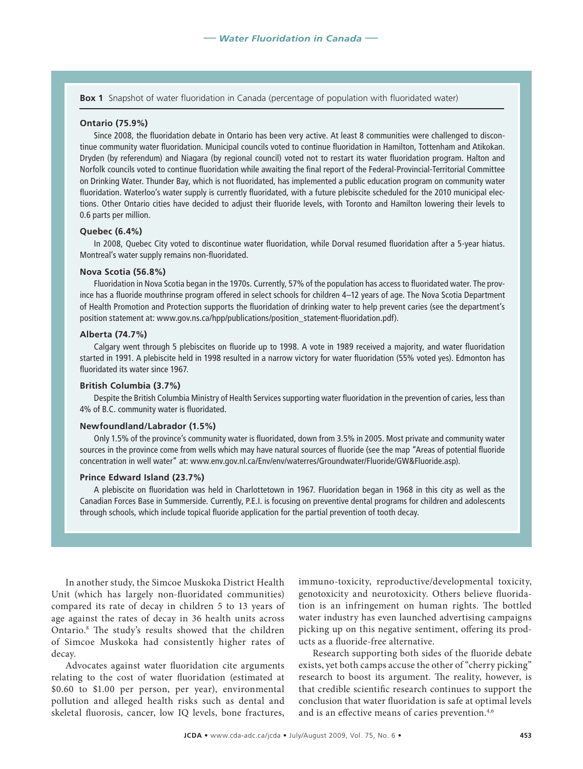**Box 1** Snapshot of water fluoridation in Canada (percentage of population with fluoridated water)

#### **Ontario (75.9%)**

Since 2008, the fluoridation debate in Ontario has been very active. At least 8 communities were challenged to discontinue community water fluoridation. Municipal councils voted to continue fluoridation in Hamilton, Tottenham and Atikokan. Dryden (by referendum) and Niagara (by regional council) voted not to restart its water fluoridation program. Halton and Norfolk councils voted to continue fluoridation while awaiting the final report of the Federal-Provincial-Territorial Committee on Drinking Water. Thunder Bay, which is not fluoridated, has implemented a public education program on community water fluoridation. Waterloo's water supply is currently fluoridated, with a future plebiscite scheduled for the 2010 municipal elections. Other Ontario cities have decided to adjust their fluoride levels, with Toronto and Hamilton lowering their levels to 0.6 parts per million.

#### **Quebec (6.4%)**

In 2008, Quebec City voted to discontinue water fluoridation, while Dorval resumed fluoridation after a 5-year hiatus. Montreal's water supply remains non-fluoridated.

#### **Nova Scotia (56.8%)**

Fluoridation in Nova Scotia began in the 1970s. Currently, 57% of the population has access to fluoridated water. The province has a fluoride mouthrinse program offered in select schools for children 4–12 years of age. The Nova Scotia Department of Health Promotion and Protection supports the fluoridation of drinking water to help prevent caries (see the department's position statement at: www.gov.ns.ca/hpp/publications/position\_statement-fluoridation.pdf).

#### **Alberta (74.7%)**

Calgary went through 5 plebiscites on fluoride up to 1998. A vote in 1989 received a majority, and water fluoridation started in 1991. A plebiscite held in 1998 resulted in a narrow victory for water fluoridation (55% voted yes). Edmonton has fluoridated its water since 1967.

#### **British Columbia (3.7%)**

Despite the British Columbia Ministry of Health Services supporting water fluoridation in the prevention of caries, less than 4% of B.C. community water is fluoridated.

## **Newfoundland/Labrador (1.5%)**

Only 1.5% of the province's community water is fluoridated, down from 3.5% in 2005. Most private and community water sources in the province come from wells which may have natural sources of fluoride (see the map "Areas of potential fluoride concentration in well water" at: www.env.gov.nl.ca/Env/env/waterres/Groundwater/Fluoride/GW&Fluoride.asp).

#### **Prince Edward Island (23.7%)**

A plebiscite on fluoridation was held in Charlottetown in 1967. Fluoridation began in 1968 in this city as well as the Canadian Forces Base in Summerside. Currently, P.E.I. is focusing on preventive dental programs for children and adolescents through schools, which include topical fluoride application for the partial prevention of tooth decay.

In another study, the Simcoe Muskoka District Health Unit (which has largely non-fluoridated communities) compared its rate of decay in children 5 to 13 years of age against the rates of decay in 36 health units across Ontario.8 The study's results showed that the children of Simcoe Muskoka had consistently higher rates of decay.

Advocates against water fluoridation cite arguments relating to the cost of water fluoridation (estimated at \$0.60 to \$1.00 per person, per year), environmental pollution and alleged health risks such as dental and skeletal fluorosis, cancer, low IQ levels, bone fractures, immuno-toxicity, reproductive/developmental toxicity, genotoxicity and neurotoxicity. Others believe fluoridation is an infringement on human rights. The bottled water industry has even launched advertising campaigns picking up on this negative sentiment, offering its products as a fluoride-free alternative.

Research supporting both sides of the fluoride debate exists, yet both camps accuse the other of "cherry picking" research to boost its argument. The reality, however, is that credible scientific research continues to support the conclusion that water fluoridation is safe at optimal levels and is an effective means of caries prevention.<sup>4,6</sup>